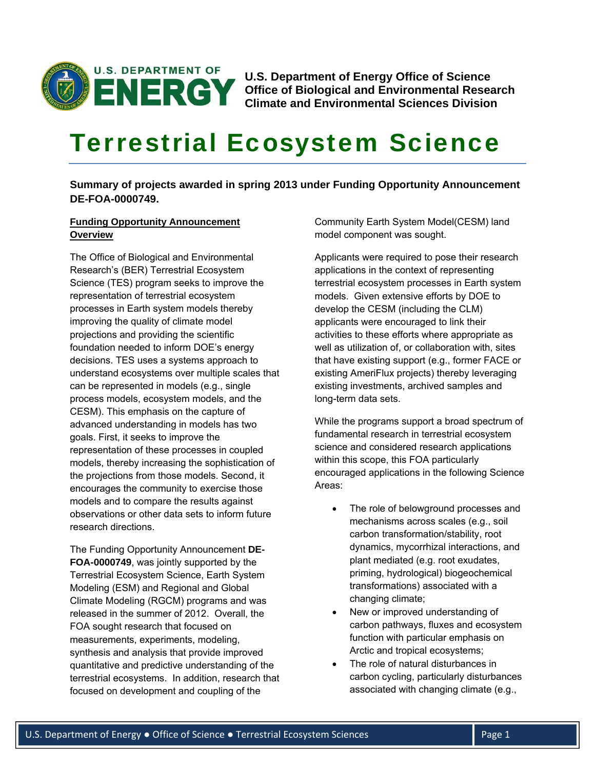

**U.S. Department of Energy Office of Science Office of Biological and Environmental Research Climate and Environmental Sciences Division** 

# Terrestrial Ecosystem Science

**Summary of projects awarded in spring 2013 under Funding Opportunity Announcement DE-FOA-0000749.** 

# **Funding Opportunity Announcement Overview**

The Office of Biological and Environmental Research's (BER) Terrestrial Ecosystem Science (TES) program seeks to improve the representation of terrestrial ecosystem processes in Earth system models thereby improving the quality of climate model projections and providing the scientific foundation needed to inform DOE's energy decisions. TES uses a systems approach to understand ecosystems over multiple scales that can be represented in models (e.g., single process models, ecosystem models, and the CESM). This emphasis on the capture of advanced understanding in models has two goals. First, it seeks to improve the representation of these processes in coupled models, thereby increasing the sophistication of the projections from those models. Second, it encourages the community to exercise those models and to compare the results against observations or other data sets to inform future research directions.

The Funding Opportunity Announcement **DE-FOA-0000749**, was jointly supported by the Terrestrial Ecosystem Science, Earth System Modeling (ESM) and Regional and Global Climate Modeling (RGCM) programs and was released in the summer of 2012. Overall, the FOA sought research that focused on measurements, experiments, modeling, synthesis and analysis that provide improved quantitative and predictive understanding of the terrestrial ecosystems. In addition, research that focused on development and coupling of the

Community Earth System Model(CESM) land model component was sought.

Applicants were required to pose their research applications in the context of representing terrestrial ecosystem processes in Earth system models. Given extensive efforts by DOE to develop the CESM (including the CLM) applicants were encouraged to link their activities to these efforts where appropriate as well as utilization of, or collaboration with, sites that have existing support (e.g., former FACE or existing AmeriFlux projects) thereby leveraging existing investments, archived samples and long-term data sets.

While the programs support a broad spectrum of fundamental research in terrestrial ecosystem science and considered research applications within this scope, this FOA particularly encouraged applications in the following Science Areas:

- The role of belowground processes and mechanisms across scales (e.g., soil carbon transformation/stability, root dynamics, mycorrhizal interactions, and plant mediated (e.g. root exudates, priming, hydrological) biogeochemical transformations) associated with a changing climate;
- New or improved understanding of carbon pathways, fluxes and ecosystem function with particular emphasis on Arctic and tropical ecosystems;
- The role of natural disturbances in carbon cycling, particularly disturbances associated with changing climate (e.g.,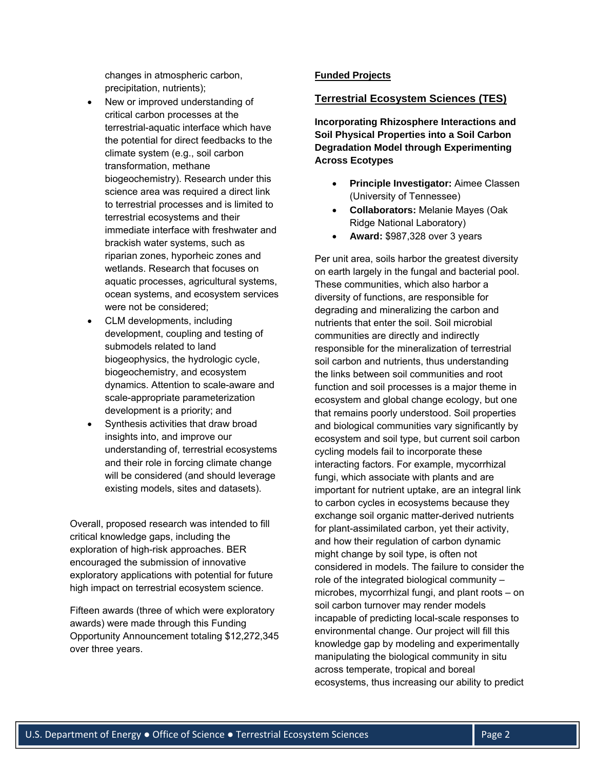changes in atmospheric carbon, precipitation, nutrients);

- New or improved understanding of critical carbon processes at the terrestrial-aquatic interface which have the potential for direct feedbacks to the climate system (e.g., soil carbon transformation, methane biogeochemistry). Research under this science area was required a direct link to terrestrial processes and is limited to terrestrial ecosystems and their immediate interface with freshwater and brackish water systems, such as riparian zones, hyporheic zones and wetlands. Research that focuses on aquatic processes, agricultural systems, ocean systems, and ecosystem services were not be considered;
- CLM developments, including development, coupling and testing of submodels related to land biogeophysics, the hydrologic cycle, biogeochemistry, and ecosystem dynamics. Attention to scale-aware and scale-appropriate parameterization development is a priority; and
- Synthesis activities that draw broad insights into, and improve our understanding of, terrestrial ecosystems and their role in forcing climate change will be considered (and should leverage existing models, sites and datasets).

Overall, proposed research was intended to fill critical knowledge gaps, including the exploration of high-risk approaches. BER encouraged the submission of innovative exploratory applications with potential for future high impact on terrestrial ecosystem science.

Fifteen awards (three of which were exploratory awards) were made through this Funding Opportunity Announcement totaling \$12,272,345 over three years.

# **Funded Projects**

## **Terrestrial Ecosystem Sciences (TES)**

**Incorporating Rhizosphere Interactions and Soil Physical Properties into a Soil Carbon Degradation Model through Experimenting Across Ecotypes**

- **Principle Investigator:** Aimee Classen (University of Tennessee)
- **Collaborators:** Melanie Mayes (Oak Ridge National Laboratory)
- **Award:** \$987,328 over 3 years

Per unit area, soils harbor the greatest diversity on earth largely in the fungal and bacterial pool. These communities, which also harbor a diversity of functions, are responsible for degrading and mineralizing the carbon and nutrients that enter the soil. Soil microbial communities are directly and indirectly responsible for the mineralization of terrestrial soil carbon and nutrients, thus understanding the links between soil communities and root function and soil processes is a major theme in ecosystem and global change ecology, but one that remains poorly understood. Soil properties and biological communities vary significantly by ecosystem and soil type, but current soil carbon cycling models fail to incorporate these interacting factors. For example, mycorrhizal fungi, which associate with plants and are important for nutrient uptake, are an integral link to carbon cycles in ecosystems because they exchange soil organic matter-derived nutrients for plant-assimilated carbon, yet their activity, and how their regulation of carbon dynamic might change by soil type, is often not considered in models. The failure to consider the role of the integrated biological community – microbes, mycorrhizal fungi, and plant roots – on soil carbon turnover may render models incapable of predicting local-scale responses to environmental change. Our project will fill this knowledge gap by modeling and experimentally manipulating the biological community in situ across temperate, tropical and boreal ecosystems, thus increasing our ability to predict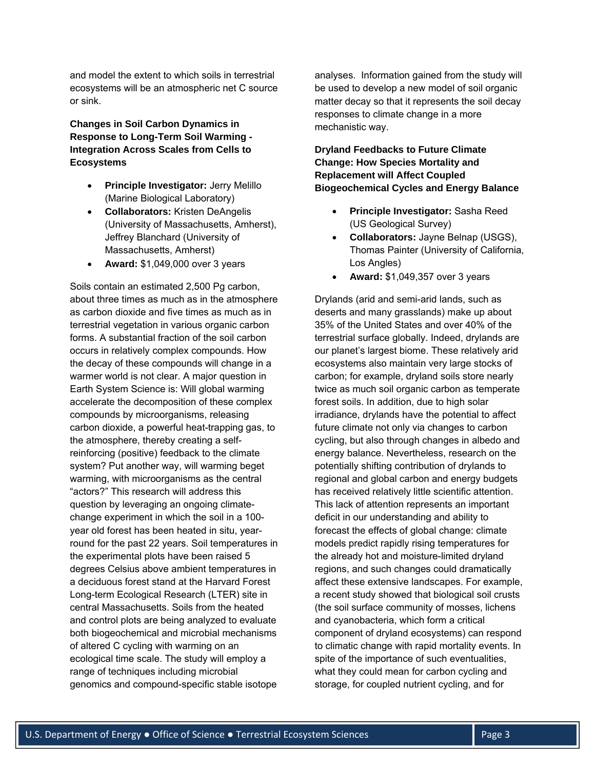and model the extent to which soils in terrestrial ecosystems will be an atmospheric net C source or sink.

**Changes in Soil Carbon Dynamics in Response to Long-Term Soil Warming - Integration Across Scales from Cells to Ecosystems**

- **Principle Investigator:** Jerry Melillo (Marine Biological Laboratory)
- **Collaborators:** Kristen DeAngelis (University of Massachusetts, Amherst), Jeffrey Blanchard (University of Massachusetts, Amherst)
- **Award:** \$1,049,000 over 3 years

Soils contain an estimated 2,500 Pg carbon, about three times as much as in the atmosphere as carbon dioxide and five times as much as in terrestrial vegetation in various organic carbon forms. A substantial fraction of the soil carbon occurs in relatively complex compounds. How the decay of these compounds will change in a warmer world is not clear. A major question in Earth System Science is: Will global warming accelerate the decomposition of these complex compounds by microorganisms, releasing carbon dioxide, a powerful heat-trapping gas, to the atmosphere, thereby creating a selfreinforcing (positive) feedback to the climate system? Put another way, will warming beget warming, with microorganisms as the central "actors?" This research will address this question by leveraging an ongoing climatechange experiment in which the soil in a 100 year old forest has been heated in situ, yearround for the past 22 years. Soil temperatures in the experimental plots have been raised 5 degrees Celsius above ambient temperatures in a deciduous forest stand at the Harvard Forest Long-term Ecological Research (LTER) site in central Massachusetts. Soils from the heated and control plots are being analyzed to evaluate both biogeochemical and microbial mechanisms of altered C cycling with warming on an ecological time scale. The study will employ a range of techniques including microbial genomics and compound-specific stable isotope

analyses. Information gained from the study will be used to develop a new model of soil organic matter decay so that it represents the soil decay responses to climate change in a more mechanistic way.

**Dryland Feedbacks to Future Climate Change: How Species Mortality and Replacement will Affect Coupled Biogeochemical Cycles and Energy Balance**

- **Principle Investigator:** Sasha Reed (US Geological Survey)
- **Collaborators:** Jayne Belnap (USGS), Thomas Painter (University of California, Los Angles)
- **Award:** \$1,049,357 over 3 years

Drylands (arid and semi-arid lands, such as deserts and many grasslands) make up about 35% of the United States and over 40% of the terrestrial surface globally. Indeed, drylands are our planet's largest biome. These relatively arid ecosystems also maintain very large stocks of carbon; for example, dryland soils store nearly twice as much soil organic carbon as temperate forest soils. In addition, due to high solar irradiance, drylands have the potential to affect future climate not only via changes to carbon cycling, but also through changes in albedo and energy balance. Nevertheless, research on the potentially shifting contribution of drylands to regional and global carbon and energy budgets has received relatively little scientific attention. This lack of attention represents an important deficit in our understanding and ability to forecast the effects of global change: climate models predict rapidly rising temperatures for the already hot and moisture-limited dryland regions, and such changes could dramatically affect these extensive landscapes. For example, a recent study showed that biological soil crusts (the soil surface community of mosses, lichens and cyanobacteria, which form a critical component of dryland ecosystems) can respond to climatic change with rapid mortality events. In spite of the importance of such eventualities, what they could mean for carbon cycling and storage, for coupled nutrient cycling, and for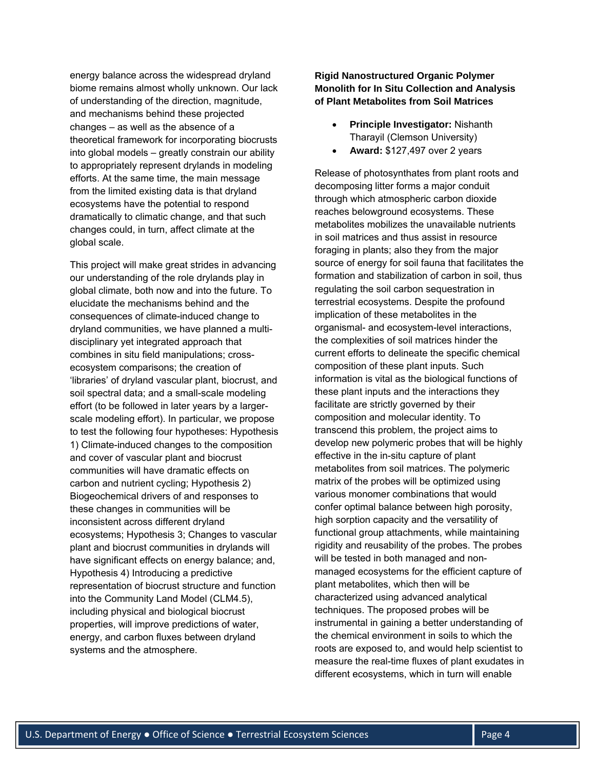energy balance across the widespread dryland biome remains almost wholly unknown. Our lack of understanding of the direction, magnitude, and mechanisms behind these projected changes – as well as the absence of a theoretical framework for incorporating biocrusts into global models – greatly constrain our ability to appropriately represent drylands in modeling efforts. At the same time, the main message from the limited existing data is that dryland ecosystems have the potential to respond dramatically to climatic change, and that such changes could, in turn, affect climate at the global scale.

This project will make great strides in advancing our understanding of the role drylands play in global climate, both now and into the future. To elucidate the mechanisms behind and the consequences of climate-induced change to dryland communities, we have planned a multidisciplinary yet integrated approach that combines in situ field manipulations; crossecosystem comparisons; the creation of 'libraries' of dryland vascular plant, biocrust, and soil spectral data; and a small-scale modeling effort (to be followed in later years by a largerscale modeling effort). In particular, we propose to test the following four hypotheses: Hypothesis 1) Climate-induced changes to the composition and cover of vascular plant and biocrust communities will have dramatic effects on carbon and nutrient cycling; Hypothesis 2) Biogeochemical drivers of and responses to these changes in communities will be inconsistent across different dryland ecosystems; Hypothesis 3; Changes to vascular plant and biocrust communities in drylands will have significant effects on energy balance; and, Hypothesis 4) Introducing a predictive representation of biocrust structure and function into the Community Land Model (CLM4.5), including physical and biological biocrust properties, will improve predictions of water, energy, and carbon fluxes between dryland systems and the atmosphere.

**Rigid Nanostructured Organic Polymer Monolith for In Situ Collection and Analysis of Plant Metabolites from Soil Matrices** 

- **Principle Investigator:** Nishanth Tharayil (Clemson University)
- **Award:** \$127,497 over 2 years

Release of photosynthates from plant roots and decomposing litter forms a major conduit through which atmospheric carbon dioxide reaches belowground ecosystems. These metabolites mobilizes the unavailable nutrients in soil matrices and thus assist in resource foraging in plants; also they from the major source of energy for soil fauna that facilitates the formation and stabilization of carbon in soil, thus regulating the soil carbon sequestration in terrestrial ecosystems. Despite the profound implication of these metabolites in the organismal- and ecosystem-level interactions, the complexities of soil matrices hinder the current efforts to delineate the specific chemical composition of these plant inputs. Such information is vital as the biological functions of these plant inputs and the interactions they facilitate are strictly governed by their composition and molecular identity. To transcend this problem, the project aims to develop new polymeric probes that will be highly effective in the in-situ capture of plant metabolites from soil matrices. The polymeric matrix of the probes will be optimized using various monomer combinations that would confer optimal balance between high porosity, high sorption capacity and the versatility of functional group attachments, while maintaining rigidity and reusability of the probes. The probes will be tested in both managed and nonmanaged ecosystems for the efficient capture of plant metabolites, which then will be characterized using advanced analytical techniques. The proposed probes will be instrumental in gaining a better understanding of the chemical environment in soils to which the roots are exposed to, and would help scientist to measure the real-time fluxes of plant exudates in different ecosystems, which in turn will enable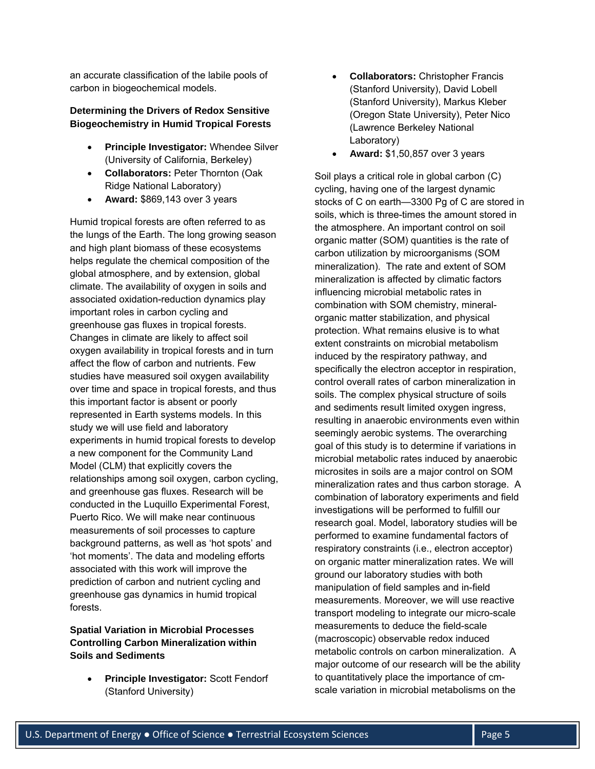an accurate classification of the labile pools of carbon in biogeochemical models.

#### **Determining the Drivers of Redox Sensitive Biogeochemistry in Humid Tropical Forests**

- **Principle Investigator:** Whendee Silver (University of California, Berkeley)
- **Collaborators:** Peter Thornton (Oak Ridge National Laboratory)
- **Award:** \$869,143 over 3 years

Humid tropical forests are often referred to as the lungs of the Earth. The long growing season and high plant biomass of these ecosystems helps regulate the chemical composition of the global atmosphere, and by extension, global climate. The availability of oxygen in soils and associated oxidation-reduction dynamics play important roles in carbon cycling and greenhouse gas fluxes in tropical forests. Changes in climate are likely to affect soil oxygen availability in tropical forests and in turn affect the flow of carbon and nutrients. Few studies have measured soil oxygen availability over time and space in tropical forests, and thus this important factor is absent or poorly represented in Earth systems models. In this study we will use field and laboratory experiments in humid tropical forests to develop a new component for the Community Land Model (CLM) that explicitly covers the relationships among soil oxygen, carbon cycling, and greenhouse gas fluxes. Research will be conducted in the Luquillo Experimental Forest, Puerto Rico. We will make near continuous measurements of soil processes to capture background patterns, as well as 'hot spots' and 'hot moments'. The data and modeling efforts associated with this work will improve the prediction of carbon and nutrient cycling and greenhouse gas dynamics in humid tropical forests.

# **Spatial Variation in Microbial Processes Controlling Carbon Mineralization within Soils and Sediments**

 **Principle Investigator:** Scott Fendorf (Stanford University)

- **Collaborators:** Christopher Francis (Stanford University), David Lobell (Stanford University), Markus Kleber (Oregon State University), Peter Nico (Lawrence Berkeley National Laboratory)
- **Award:** \$1,50,857 over 3 years

Soil plays a critical role in global carbon (C) cycling, having one of the largest dynamic stocks of C on earth—3300 Pg of C are stored in soils, which is three-times the amount stored in the atmosphere. An important control on soil organic matter (SOM) quantities is the rate of carbon utilization by microorganisms (SOM mineralization). The rate and extent of SOM mineralization is affected by climatic factors influencing microbial metabolic rates in combination with SOM chemistry, mineralorganic matter stabilization, and physical protection. What remains elusive is to what extent constraints on microbial metabolism induced by the respiratory pathway, and specifically the electron acceptor in respiration, control overall rates of carbon mineralization in soils. The complex physical structure of soils and sediments result limited oxygen ingress, resulting in anaerobic environments even within seemingly aerobic systems. The overarching goal of this study is to determine if variations in microbial metabolic rates induced by anaerobic microsites in soils are a major control on SOM mineralization rates and thus carbon storage. A combination of laboratory experiments and field investigations will be performed to fulfill our research goal. Model, laboratory studies will be performed to examine fundamental factors of respiratory constraints (i.e., electron acceptor) on organic matter mineralization rates. We will ground our laboratory studies with both manipulation of field samples and in-field measurements. Moreover, we will use reactive transport modeling to integrate our micro-scale measurements to deduce the field-scale (macroscopic) observable redox induced metabolic controls on carbon mineralization. A major outcome of our research will be the ability to quantitatively place the importance of cmscale variation in microbial metabolisms on the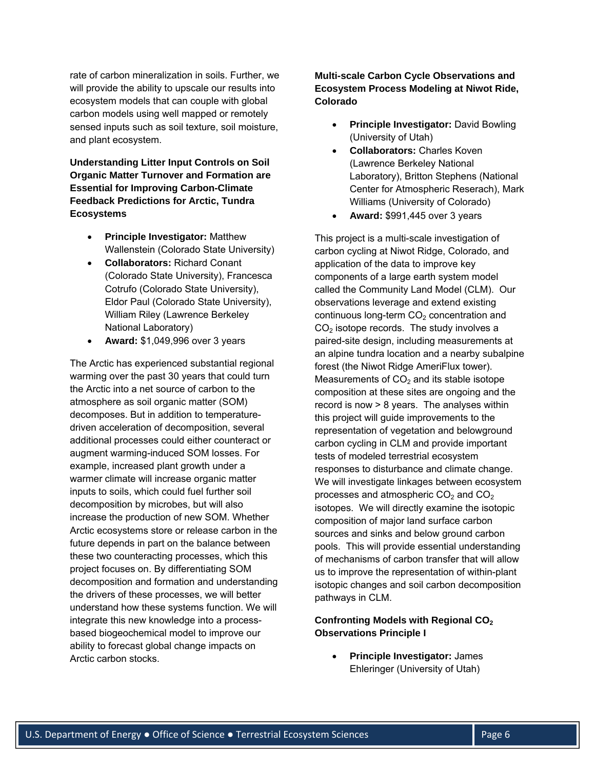rate of carbon mineralization in soils. Further, we will provide the ability to upscale our results into ecosystem models that can couple with global carbon models using well mapped or remotely sensed inputs such as soil texture, soil moisture, and plant ecosystem.

**Understanding Litter Input Controls on Soil Organic Matter Turnover and Formation are Essential for Improving Carbon-Climate Feedback Predictions for Arctic, Tundra Ecosystems** 

- **Principle Investigator:** Matthew Wallenstein (Colorado State University)
- **Collaborators:** Richard Conant (Colorado State University), Francesca Cotrufo (Colorado State University), Eldor Paul (Colorado State University), William Riley (Lawrence Berkeley National Laboratory)
- **Award:** \$1,049,996 over 3 years

The Arctic has experienced substantial regional warming over the past 30 years that could turn the Arctic into a net source of carbon to the atmosphere as soil organic matter (SOM) decomposes. But in addition to temperaturedriven acceleration of decomposition, several additional processes could either counteract or augment warming-induced SOM losses. For example, increased plant growth under a warmer climate will increase organic matter inputs to soils, which could fuel further soil decomposition by microbes, but will also increase the production of new SOM. Whether Arctic ecosystems store or release carbon in the future depends in part on the balance between these two counteracting processes, which this project focuses on. By differentiating SOM decomposition and formation and understanding the drivers of these processes, we will better understand how these systems function. We will integrate this new knowledge into a processbased biogeochemical model to improve our ability to forecast global change impacts on Arctic carbon stocks.

**Multi-scale Carbon Cycle Observations and Ecosystem Process Modeling at Niwot Ride, Colorado** 

- **Principle Investigator:** David Bowling (University of Utah)
- **Collaborators:** Charles Koven (Lawrence Berkeley National Laboratory), Britton Stephens (National Center for Atmospheric Reserach), Mark Williams (University of Colorado)
- **Award:** \$991,445 over 3 years

This project is a multi-scale investigation of carbon cycling at Niwot Ridge, Colorado, and application of the data to improve key components of a large earth system model called the Community Land Model (CLM). Our observations leverage and extend existing continuous long-term  $CO<sub>2</sub>$  concentration and  $CO<sub>2</sub>$  isotope records. The study involves a paired-site design, including measurements at an alpine tundra location and a nearby subalpine forest (the Niwot Ridge AmeriFlux tower). Measurements of  $CO<sub>2</sub>$  and its stable isotope composition at these sites are ongoing and the record is now > 8 years. The analyses within this project will guide improvements to the representation of vegetation and belowground carbon cycling in CLM and provide important tests of modeled terrestrial ecosystem responses to disturbance and climate change. We will investigate linkages between ecosystem processes and atmospheric  $CO<sub>2</sub>$  and  $CO<sub>2</sub>$ isotopes. We will directly examine the isotopic composition of major land surface carbon sources and sinks and below ground carbon pools. This will provide essential understanding of mechanisms of carbon transfer that will allow us to improve the representation of within-plant isotopic changes and soil carbon decomposition pathways in CLM.

# **Confronting Models with Regional CO2 Observations Principle I**

 **Principle Investigator:** James Ehleringer (University of Utah)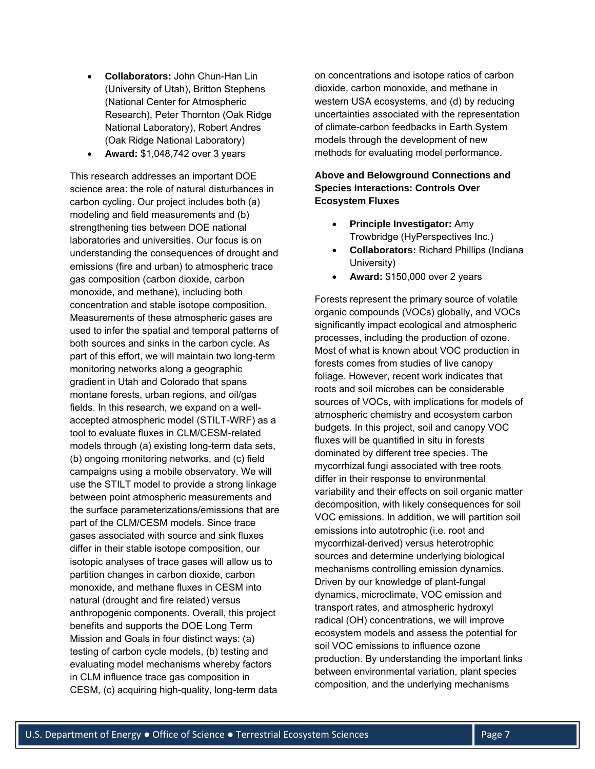- **Collaborators:** John Chun-Han Lin (University of Utah), Britton Stephens (National Center for Atmospheric Research), Peter Thornton (Oak Ridge National Laboratory), Robert Andres (Oak Ridge National Laboratory)
- **Award:** \$1,048,742 over 3 years

This research addresses an important DOE science area: the role of natural disturbances in carbon cycling. Our project includes both (a) modeling and field measurements and (b) strengthening ties between DOE national laboratories and universities. Our focus is on understanding the consequences of drought and emissions (fire and urban) to atmospheric trace gas composition (carbon dioxide, carbon monoxide, and methane), including both concentration and stable isotope composition. Measurements of these atmospheric gases are used to infer the spatial and temporal patterns of both sources and sinks in the carbon cycle. As part of this effort, we will maintain two long-term monitoring networks along a geographic gradient in Utah and Colorado that spans montane forests, urban regions, and oil/gas fields. In this research, we expand on a wellaccepted atmospheric model (STILT-WRF) as a tool to evaluate fluxes in CLM/CESM-related models through (a) existing long-term data sets, (b) ongoing monitoring networks, and (c) field campaigns using a mobile observatory. We will use the STILT model to provide a strong linkage between point atmospheric measurements and the surface parameterizations/emissions that are part of the CLM/CESM models. Since trace gases associated with source and sink fluxes differ in their stable isotope composition, our isotopic analyses of trace gases will allow us to partition changes in carbon dioxide, carbon monoxide, and methane fluxes in CESM into natural (drought and fire related) versus anthropogenic components. Overall, this project benefits and supports the DOE Long Term Mission and Goals in four distinct ways: (a) testing of carbon cycle models, (b) testing and evaluating model mechanisms whereby factors in CLM influence trace gas composition in CESM, (c) acquiring high-quality, long-term data

on concentrations and isotope ratios of carbon dioxide, carbon monoxide, and methane in western USA ecosystems, and (d) by reducing uncertainties associated with the representation of climate-carbon feedbacks in Earth System models through the development of new methods for evaluating model performance.

## **Above and Belowground Connections and Species Interactions: Controls Over Ecosystem Fluxes**

- **Principle Investigator:** Amy Trowbridge (HyPerspectives Inc.)
- **Collaborators:** Richard Phillips (Indiana University)
- **Award:** \$150,000 over 2 years

Forests represent the primary source of volatile organic compounds (VOCs) globally, and VOCs significantly impact ecological and atmospheric processes, including the production of ozone. Most of what is known about VOC production in forests comes from studies of live canopy foliage. However, recent work indicates that roots and soil microbes can be considerable sources of VOCs, with implications for models of atmospheric chemistry and ecosystem carbon budgets. In this project, soil and canopy VOC fluxes will be quantified in situ in forests dominated by different tree species. The mycorrhizal fungi associated with tree roots differ in their response to environmental variability and their effects on soil organic matter decomposition, with likely consequences for soil VOC emissions. In addition, we will partition soil emissions into autotrophic (i.e. root and mycorrhizal-derived) versus heterotrophic sources and determine underlying biological mechanisms controlling emission dynamics. Driven by our knowledge of plant-fungal dynamics, microclimate, VOC emission and transport rates, and atmospheric hydroxyl radical (OH) concentrations, we will improve ecosystem models and assess the potential for soil VOC emissions to influence ozone production. By understanding the important links between environmental variation, plant species composition, and the underlying mechanisms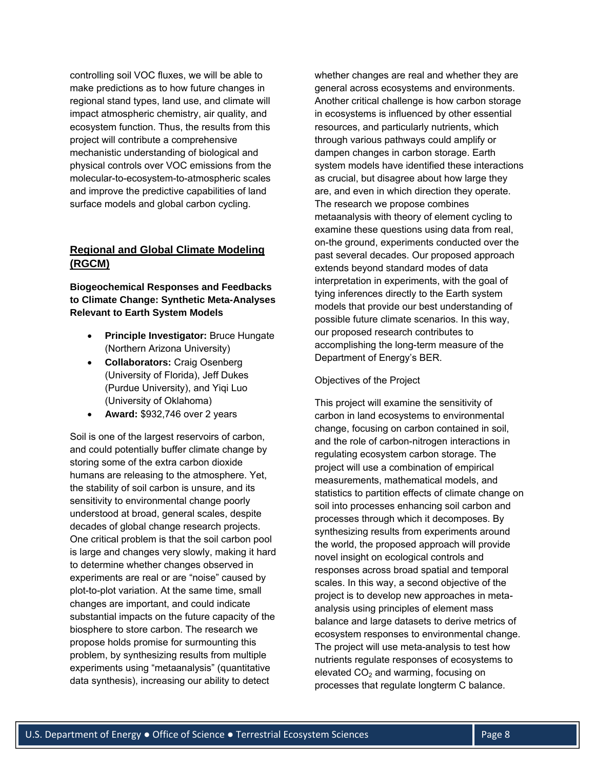controlling soil VOC fluxes, we will be able to make predictions as to how future changes in regional stand types, land use, and climate will impact atmospheric chemistry, air quality, and ecosystem function. Thus, the results from this project will contribute a comprehensive mechanistic understanding of biological and physical controls over VOC emissions from the molecular-to-ecosystem-to-atmospheric scales and improve the predictive capabilities of land surface models and global carbon cycling.

# **Regional and Global Climate Modeling (RGCM)**

**Biogeochemical Responses and Feedbacks to Climate Change: Synthetic Meta-Analyses Relevant to Earth System Models**

- **Principle Investigator:** Bruce Hungate (Northern Arizona University)
- **Collaborators:** Craig Osenberg (University of Florida), Jeff Dukes (Purdue University), and Yiqi Luo (University of Oklahoma)
- **Award:** \$932,746 over 2 years

Soil is one of the largest reservoirs of carbon, and could potentially buffer climate change by storing some of the extra carbon dioxide humans are releasing to the atmosphere. Yet, the stability of soil carbon is unsure, and its sensitivity to environmental change poorly understood at broad, general scales, despite decades of global change research projects. One critical problem is that the soil carbon pool is large and changes very slowly, making it hard to determine whether changes observed in experiments are real or are "noise" caused by plot-to-plot variation. At the same time, small changes are important, and could indicate substantial impacts on the future capacity of the biosphere to store carbon. The research we propose holds promise for surmounting this problem, by synthesizing results from multiple experiments using "metaanalysis" (quantitative data synthesis), increasing our ability to detect

whether changes are real and whether they are general across ecosystems and environments. Another critical challenge is how carbon storage in ecosystems is influenced by other essential resources, and particularly nutrients, which through various pathways could amplify or dampen changes in carbon storage. Earth system models have identified these interactions as crucial, but disagree about how large they are, and even in which direction they operate. The research we propose combines metaanalysis with theory of element cycling to examine these questions using data from real, on-the ground, experiments conducted over the past several decades. Our proposed approach extends beyond standard modes of data interpretation in experiments, with the goal of tying inferences directly to the Earth system models that provide our best understanding of possible future climate scenarios. In this way, our proposed research contributes to accomplishing the long-term measure of the Department of Energy's BER.

#### Objectives of the Project

This project will examine the sensitivity of carbon in land ecosystems to environmental change, focusing on carbon contained in soil, and the role of carbon-nitrogen interactions in regulating ecosystem carbon storage. The project will use a combination of empirical measurements, mathematical models, and statistics to partition effects of climate change on soil into processes enhancing soil carbon and processes through which it decomposes. By synthesizing results from experiments around the world, the proposed approach will provide novel insight on ecological controls and responses across broad spatial and temporal scales. In this way, a second objective of the project is to develop new approaches in metaanalysis using principles of element mass balance and large datasets to derive metrics of ecosystem responses to environmental change. The project will use meta-analysis to test how nutrients regulate responses of ecosystems to elevated  $CO<sub>2</sub>$  and warming, focusing on processes that regulate longterm C balance.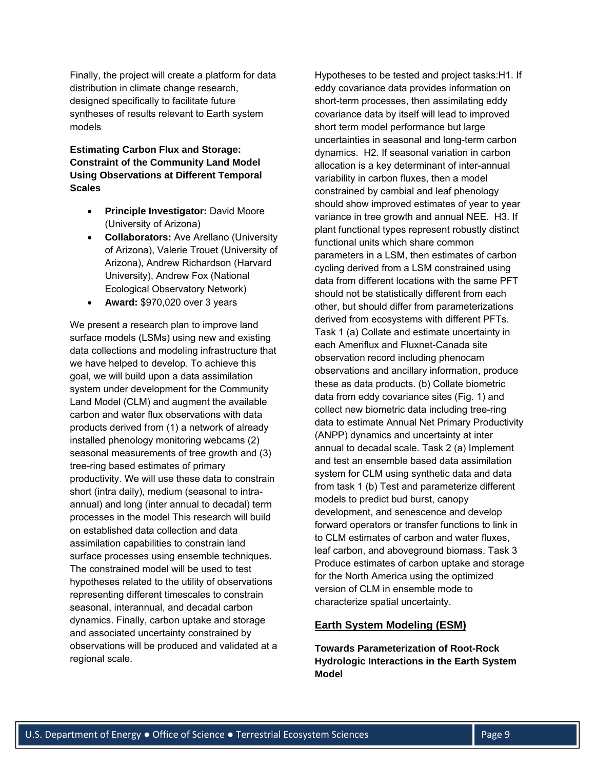Finally, the project will create a platform for data distribution in climate change research, designed specifically to facilitate future syntheses of results relevant to Earth system models

# **Estimating Carbon Flux and Storage: Constraint of the Community Land Model Using Observations at Different Temporal Scales**

- **Principle Investigator: David Moore** (University of Arizona)
- **Collaborators:** Ave Arellano (University of Arizona), Valerie Trouet (University of Arizona), Andrew Richardson (Harvard University), Andrew Fox (National Ecological Observatory Network)
- **Award:** \$970,020 over 3 years

We present a research plan to improve land surface models (LSMs) using new and existing data collections and modeling infrastructure that we have helped to develop. To achieve this goal, we will build upon a data assimilation system under development for the Community Land Model (CLM) and augment the available carbon and water flux observations with data products derived from (1) a network of already installed phenology monitoring webcams (2) seasonal measurements of tree growth and (3) tree-ring based estimates of primary productivity. We will use these data to constrain short (intra daily), medium (seasonal to intraannual) and long (inter annual to decadal) term processes in the model This research will build on established data collection and data assimilation capabilities to constrain land surface processes using ensemble techniques. The constrained model will be used to test hypotheses related to the utility of observations representing different timescales to constrain seasonal, interannual, and decadal carbon dynamics. Finally, carbon uptake and storage and associated uncertainty constrained by observations will be produced and validated at a regional scale.

Hypotheses to be tested and project tasks:H1. If eddy covariance data provides information on short-term processes, then assimilating eddy covariance data by itself will lead to improved short term model performance but large uncertainties in seasonal and long-term carbon dynamics. H2. If seasonal variation in carbon allocation is a key determinant of inter-annual variability in carbon fluxes, then a model constrained by cambial and leaf phenology should show improved estimates of year to year variance in tree growth and annual NEE. H3. If plant functional types represent robustly distinct functional units which share common parameters in a LSM, then estimates of carbon cycling derived from a LSM constrained using data from different locations with the same PFT should not be statistically different from each other, but should differ from parameterizations derived from ecosystems with different PFTs. Task 1 (a) Collate and estimate uncertainty in each Ameriflux and Fluxnet-Canada site observation record including phenocam observations and ancillary information, produce these as data products. (b) Collate biometric data from eddy covariance sites (Fig. 1) and collect new biometric data including tree-ring data to estimate Annual Net Primary Productivity (ANPP) dynamics and uncertainty at inter annual to decadal scale. Task 2 (a) Implement and test an ensemble based data assimilation system for CLM using synthetic data and data from task 1 (b) Test and parameterize different models to predict bud burst, canopy development, and senescence and develop forward operators or transfer functions to link in to CLM estimates of carbon and water fluxes, leaf carbon, and aboveground biomass. Task 3 Produce estimates of carbon uptake and storage for the North America using the optimized version of CLM in ensemble mode to characterize spatial uncertainty.

#### **Earth System Modeling (ESM)**

**Towards Parameterization of Root-Rock Hydrologic Interactions in the Earth System Model**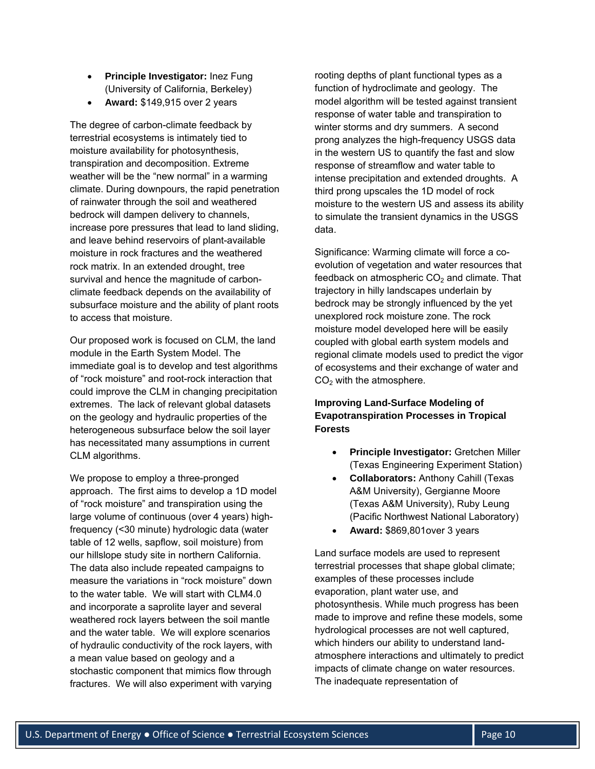- **Principle Investigator:** Inez Fung (University of California, Berkeley)
- **Award:** \$149,915 over 2 years

The degree of carbon-climate feedback by terrestrial ecosystems is intimately tied to moisture availability for photosynthesis, transpiration and decomposition. Extreme weather will be the "new normal" in a warming climate. During downpours, the rapid penetration of rainwater through the soil and weathered bedrock will dampen delivery to channels, increase pore pressures that lead to land sliding, and leave behind reservoirs of plant-available moisture in rock fractures and the weathered rock matrix. In an extended drought, tree survival and hence the magnitude of carbonclimate feedback depends on the availability of subsurface moisture and the ability of plant roots to access that moisture.

Our proposed work is focused on CLM, the land module in the Earth System Model. The immediate goal is to develop and test algorithms of "rock moisture" and root-rock interaction that could improve the CLM in changing precipitation extremes. The lack of relevant global datasets on the geology and hydraulic properties of the heterogeneous subsurface below the soil layer has necessitated many assumptions in current CLM algorithms.

We propose to employ a three-pronged approach. The first aims to develop a 1D model of "rock moisture" and transpiration using the large volume of continuous (over 4 years) highfrequency (<30 minute) hydrologic data (water table of 12 wells, sapflow, soil moisture) from our hillslope study site in northern California. The data also include repeated campaigns to measure the variations in "rock moisture" down to the water table. We will start with CLM4.0 and incorporate a saprolite layer and several weathered rock layers between the soil mantle and the water table. We will explore scenarios of hydraulic conductivity of the rock layers, with a mean value based on geology and a stochastic component that mimics flow through fractures. We will also experiment with varying

rooting depths of plant functional types as a function of hydroclimate and geology. The model algorithm will be tested against transient response of water table and transpiration to winter storms and dry summers. A second prong analyzes the high-frequency USGS data in the western US to quantify the fast and slow response of streamflow and water table to intense precipitation and extended droughts. A third prong upscales the 1D model of rock moisture to the western US and assess its ability to simulate the transient dynamics in the USGS data.

Significance: Warming climate will force a coevolution of vegetation and water resources that feedback on atmospheric  $CO<sub>2</sub>$  and climate. That trajectory in hilly landscapes underlain by bedrock may be strongly influenced by the yet unexplored rock moisture zone. The rock moisture model developed here will be easily coupled with global earth system models and regional climate models used to predict the vigor of ecosystems and their exchange of water and  $CO<sub>2</sub>$  with the atmosphere.

# **Improving Land-Surface Modeling of Evapotranspiration Processes in Tropical Forests**

- **Principle Investigator:** Gretchen Miller (Texas Engineering Experiment Station)
- **Collaborators:** Anthony Cahill (Texas A&M University), Gergianne Moore (Texas A&M University), Ruby Leung (Pacific Northwest National Laboratory)
- **Award:** \$869,801over 3 years

Land surface models are used to represent terrestrial processes that shape global climate; examples of these processes include evaporation, plant water use, and photosynthesis. While much progress has been made to improve and refine these models, some hydrological processes are not well captured, which hinders our ability to understand landatmosphere interactions and ultimately to predict impacts of climate change on water resources. The inadequate representation of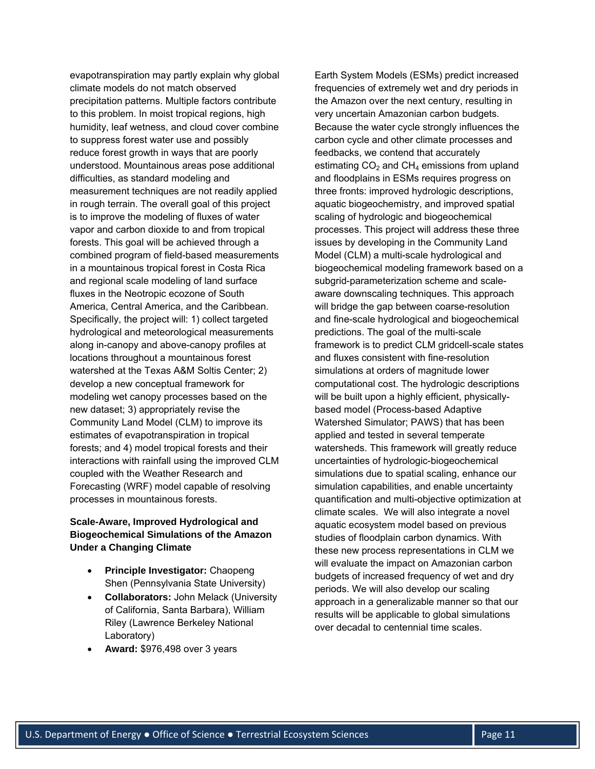evapotranspiration may partly explain why global climate models do not match observed precipitation patterns. Multiple factors contribute to this problem. In moist tropical regions, high humidity, leaf wetness, and cloud cover combine to suppress forest water use and possibly reduce forest growth in ways that are poorly understood. Mountainous areas pose additional difficulties, as standard modeling and measurement techniques are not readily applied in rough terrain. The overall goal of this project is to improve the modeling of fluxes of water vapor and carbon dioxide to and from tropical forests. This goal will be achieved through a combined program of field-based measurements in a mountainous tropical forest in Costa Rica and regional scale modeling of land surface fluxes in the Neotropic ecozone of South America, Central America, and the Caribbean. Specifically, the project will: 1) collect targeted hydrological and meteorological measurements along in-canopy and above-canopy profiles at locations throughout a mountainous forest watershed at the Texas A&M Soltis Center; 2) develop a new conceptual framework for modeling wet canopy processes based on the new dataset; 3) appropriately revise the Community Land Model (CLM) to improve its estimates of evapotranspiration in tropical forests; and 4) model tropical forests and their interactions with rainfall using the improved CLM coupled with the Weather Research and Forecasting (WRF) model capable of resolving processes in mountainous forests.

## **Scale-Aware, Improved Hydrological and Biogeochemical Simulations of the Amazon Under a Changing Climate**

- **Principle Investigator:** Chaopeng Shen (Pennsylvania State University)
- **Collaborators:** John Melack (University of California, Santa Barbara), William Riley (Lawrence Berkeley National Laboratory)
- **Award:** \$976,498 over 3 years

Earth System Models (ESMs) predict increased frequencies of extremely wet and dry periods in the Amazon over the next century, resulting in very uncertain Amazonian carbon budgets. Because the water cycle strongly influences the carbon cycle and other climate processes and feedbacks, we contend that accurately estimating  $CO<sub>2</sub>$  and  $CH<sub>4</sub>$  emissions from upland and floodplains in ESMs requires progress on three fronts: improved hydrologic descriptions, aquatic biogeochemistry, and improved spatial scaling of hydrologic and biogeochemical processes. This project will address these three issues by developing in the Community Land Model (CLM) a multi-scale hydrological and biogeochemical modeling framework based on a subgrid-parameterization scheme and scaleaware downscaling techniques. This approach will bridge the gap between coarse-resolution and fine-scale hydrological and biogeochemical predictions. The goal of the multi-scale framework is to predict CLM gridcell-scale states and fluxes consistent with fine-resolution simulations at orders of magnitude lower computational cost. The hydrologic descriptions will be built upon a highly efficient, physicallybased model (Process-based Adaptive Watershed Simulator; PAWS) that has been applied and tested in several temperate watersheds. This framework will greatly reduce uncertainties of hydrologic-biogeochemical simulations due to spatial scaling, enhance our simulation capabilities, and enable uncertainty quantification and multi-objective optimization at climate scales. We will also integrate a novel aquatic ecosystem model based on previous studies of floodplain carbon dynamics. With these new process representations in CLM we will evaluate the impact on Amazonian carbon budgets of increased frequency of wet and dry periods. We will also develop our scaling approach in a generalizable manner so that our results will be applicable to global simulations over decadal to centennial time scales.